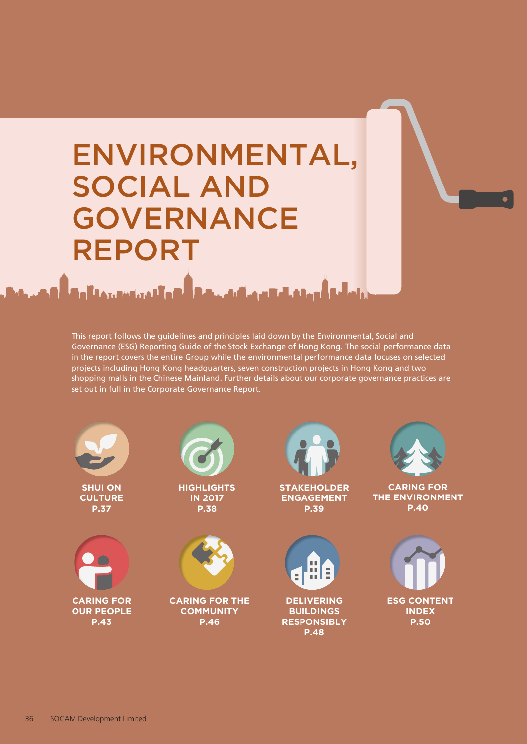# ENVIRONMENTAL, SOCIAL AND GOVERNANCE REPORT

والتمسيس تقبلوهم بمناسب والمستعمل

This report follows the guidelines and principles laid down by the Environmental, Social and Governance (ESG) Reporting Guide of the Stock Exchange of Hong Kong. The social performance data in the report covers the entire Group while the environmental performance data focuses on selected projects including Hong Kong headquarters, seven construction projects in Hong Kong and two shopping malls in the Chinese Mainland. Further details about our corporate governance practices are set out in full in the Corporate Governance Report.

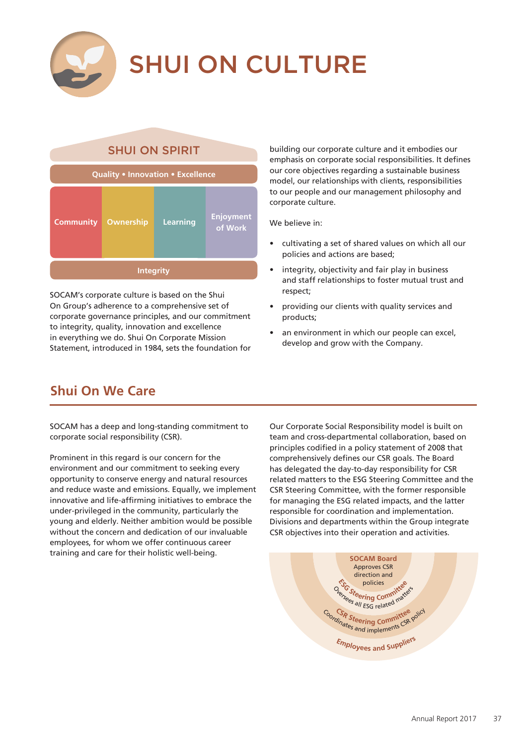

# SHUI ON CULTURE

# SHUI ON SPIRIT **Quality • Innovation • Excellence**

| <b>Community</b> | Ownership | <b>Learning</b> | Enjoyment<br>of Work |
|------------------|-----------|-----------------|----------------------|
| <b>Integrity</b> |           |                 |                      |

SOCAM's corporate culture is based on the Shui On Group's adherence to a comprehensive set of corporate governance principles, and our commitment to integrity, quality, innovation and excellence in everything we do. Shui On Corporate Mission Statement, introduced in 1984, sets the foundation for building our corporate culture and it embodies our emphasis on corporate social responsibilities. It defines our core objectives regarding a sustainable business model, our relationships with clients, responsibilities to our people and our management philosophy and corporate culture.

We believe in:

- cultivating a set of shared values on which all our policies and actions are based;
- integrity, objectivity and fair play in business and staff relationships to foster mutual trust and respect;
- providing our clients with quality services and products;
- an environment in which our people can excel, develop and grow with the Company.

# **Shui On We Care**

SOCAM has a deep and long-standing commitment to corporate social responsibility (CSR).

Prominent in this regard is our concern for the environment and our commitment to seeking every opportunity to conserve energy and natural resources and reduce waste and emissions. Equally, we implement innovative and life-affirming initiatives to embrace the under-privileged in the community, particularly the young and elderly. Neither ambition would be possible without the concern and dedication of our invaluable employees, for whom we offer continuous career training and care for their holistic well-being.

Our Corporate Social Responsibility model is built on team and cross-departmental collaboration, based on principles codified in a policy statement of 2008 that comprehensively defines our CSR goals. The Board has delegated the day-to-day responsibility for CSR related matters to the ESG Steering Committee and the CSR Steering Committee, with the former responsible for managing the ESG related impacts, and the latter responsible for coordination and implementation. Divisions and departments within the Group integrate CSR objectives into their operation and activities.

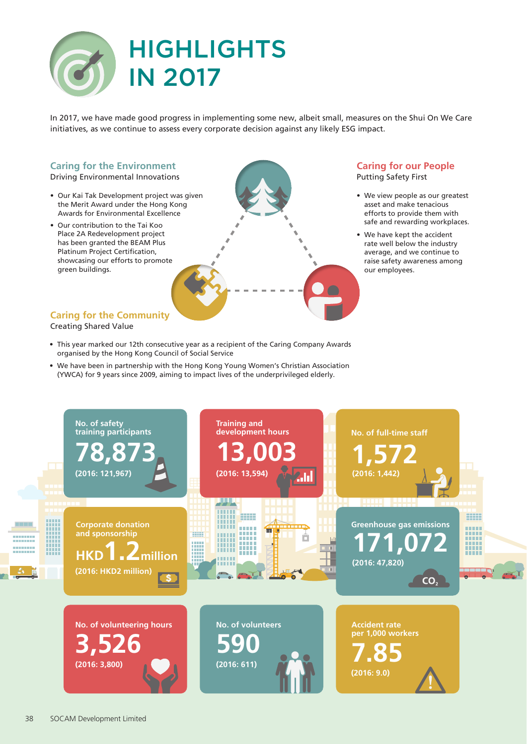

In 2017, we have made good progress in implementing some new, albeit small, measures on the Shui On We Care initiatives, as we continue to assess every corporate decision against any likely ESG impact.

#### **Caring for the Environment**

Driving Environmental Innovations

- Our Kai Tak Development project was given the Merit Award under the Hong Kong Awards for Environmental Excellence
- Our contribution to the Tai Koo Place 2A Redevelopment project has been granted the BEAM Plus Platinum Project Certification, showcasing our efforts to promote green buildings.

#### **Caring for our People** Putting Safety First

- We view people as our greatest asset and make tenacious efforts to provide them with safe and rewarding workplaces.
- We have kept the accident rate well below the industry average, and we continue to raise safety awareness among our employees.

#### **Caring for the Community** Creating Shared Value

- This year marked our 12th consecutive year as a recipient of the Caring Company Awards organised by the Hong Kong Council of Social Service
- We have been in partnership with the Hong Kong Young Women's Christian Association (YWCA) for 9 years since 2009, aiming to impact lives of the underprivileged elderly.

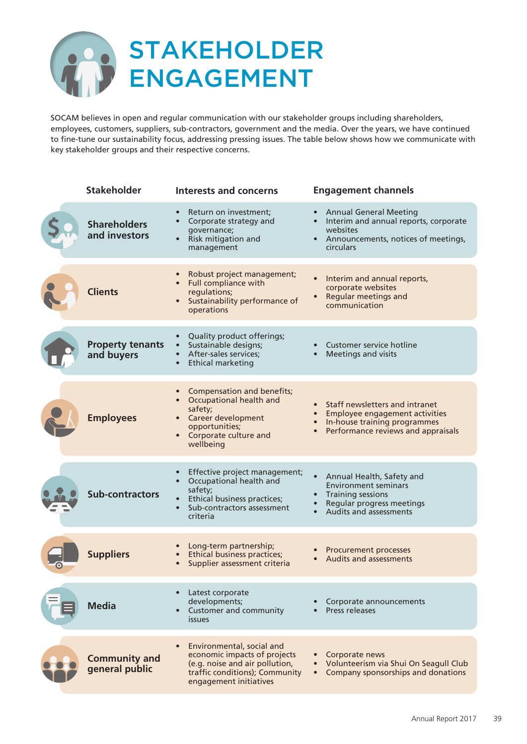

SOCAM believes in open and regular communication with our stakeholder groups including shareholders, employees, customers, suppliers, sub-contractors, government and the media. Over the years, we have continued to fine-tune our sustainability focus, addressing pressing issues. The table below shows how we communicate with key stakeholder groups and their respective concerns.

| <b>Stakeholder</b>                     | <b>Interests and concerns</b>                                                                                                                                                         | <b>Engagement channels</b>                                                                                                                      |
|----------------------------------------|---------------------------------------------------------------------------------------------------------------------------------------------------------------------------------------|-------------------------------------------------------------------------------------------------------------------------------------------------|
| <b>Shareholders</b><br>and investors   | Return on investment;<br>$\bullet$<br>Corporate strategy and<br>$\bullet$<br>governance;<br>Risk mitigation and<br>$\bullet$<br>management                                            | <b>Annual General Meeting</b><br>Interim and annual reports, corporate<br>websites<br>• Announcements, notices of meetings,<br><b>circulars</b> |
| <b>Clients</b>                         | Robust project management;<br>$\bullet$<br>Full compliance with<br>regulations;<br>Sustainability performance of<br>$\bullet$<br>operations                                           | Interim and annual reports,<br>corporate websites<br><b>Regular meetings and</b><br>communication                                               |
| <b>Property tenants</b><br>and buyers  | Quality product offerings;<br>$\bullet$<br>Sustainable designs;<br>After-sales services;<br>$\bullet$<br><b>Ethical marketing</b><br>$\bullet$                                        | Customer service hotline<br>Meetings and visits                                                                                                 |
| <b>Employees</b>                       | Compensation and benefits;<br>$\bullet$<br>Occupational health and<br>$\bullet$<br>safety;<br>Career development<br>opportunities;<br>Corporate culture and<br>$\bullet$<br>wellbeing | Staff newsletters and intranet<br>Employee engagement activities<br>In-house training programmes<br>Performance reviews and appraisals          |
| <b>Sub-contractors</b>                 | Effective project management;<br>$\bullet$<br>Occupational health and<br>$\bullet$<br>safety;<br>Ethical business practices;<br>Sub-contractors assessment<br>$\bullet$<br>criteria   | Annual Health, Safety and<br><b>Environment seminars</b><br><b>Training sessions</b><br>Regular progress meetings<br>Audits and assessments     |
| <b>Suppliers</b>                       | Long-term partnership;<br><b>Ethical business practices;</b><br>$\bullet$<br>Supplier assessment criteria<br>$\bullet$                                                                | <b>Procurement processes</b><br><b>Audits and assessments</b>                                                                                   |
| <b>Media</b>                           | Latest corporate<br>developments;<br><b>Customer and community</b><br><i>issues</i>                                                                                                   | Corporate announcements<br>Press releases                                                                                                       |
| <b>Community and</b><br>general public | Environmental, social and<br>economic impacts of projects<br>(e.g. noise and air pollution,<br>traffic conditions); Community<br>engagement initiatives                               | Corporate news<br>Volunteerism via Shui On Seagull Club<br>Company sponsorships and donations<br>$\bullet$                                      |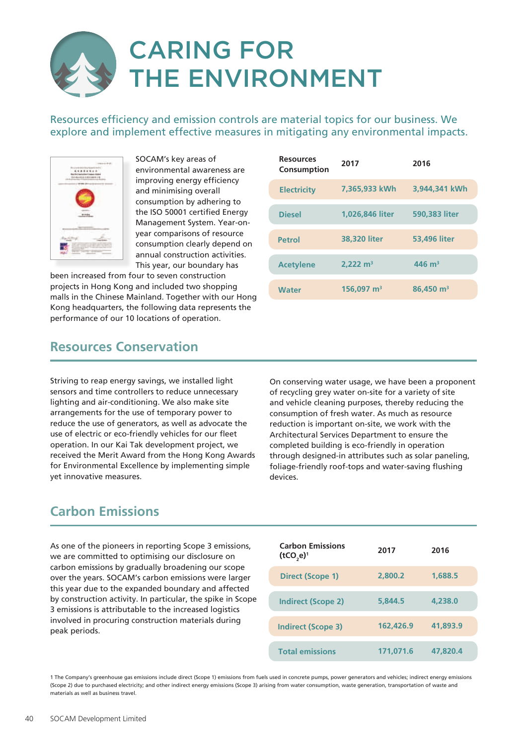# CARING FOR THE ENVIRONMENT

Resources efficiency and emission controls are material topics for our business. We explore and implement effective measures in mitigating any environmental impacts.



SOCAM's key areas of environmental awareness are improving energy efficiency and minimising overall consumption by adhering to the ISO 50001 certified Energy Management System. Year-onyear comparisons of resource consumption clearly depend on annual construction activities. This year, our boundary has

been increased from four to seven construction projects in Hong Kong and included two shopping malls in the Chinese Mainland. Together with our Hong Kong headquarters, the following data represents the performance of our 10 locations of operation.

| <b>Resources</b><br>Consumption | 2017                     | 2016                  |
|---------------------------------|--------------------------|-----------------------|
| <b>Electricity</b>              | 7.365,933 kWh            | 3.944,341 kWh         |
| <b>Diesel</b>                   | 1,026,846 liter          | 590,383 liter         |
| <b>Petrol</b>                   | 38,320 liter             | <b>53,496 liter</b>   |
| <b>Acetylene</b>                | $2,222 \text{ m}^3$      | $446 \; \mathrm{m}^3$ |
| <b>Water</b>                    | $156.097$ m <sup>3</sup> | 86,450 m <sup>3</sup> |

### **Resources Conservation**

Striving to reap energy savings, we installed light sensors and time controllers to reduce unnecessary lighting and air-conditioning. We also make site arrangements for the use of temporary power to reduce the use of generators, as well as advocate the use of electric or eco-friendly vehicles for our fleet operation. In our Kai Tak development project, we received the Merit Award from the Hong Kong Awards for Environmental Excellence by implementing simple yet innovative measures.

On conserving water usage, we have been a proponent of recycling grey water on-site for a variety of site and vehicle cleaning purposes, thereby reducing the consumption of fresh water. As much as resource reduction is important on-site, we work with the Architectural Services Department to ensure the completed building is eco-friendly in operation through designed-in attributes such as solar paneling, foliage-friendly roof-tops and water-saving flushing devices.

# **Carbon Emissions**

As one of the pioneers in reporting Scope 3 emissions, we are committed to optimising our disclosure on carbon emissions by gradually broadening our scope over the years. SOCAM's carbon emissions were larger this year due to the expanded boundary and affected by construction activity. In particular, the spike in Scope 3 emissions is attributable to the increased logistics involved in procuring construction materials during peak periods.

| <b>Carbon Emissions</b><br>$(tCO,e)^1$ | 2017      | 2016     |
|----------------------------------------|-----------|----------|
| Direct (Scope 1)                       | 2,800.2   | 1,688.5  |
| <b>Indirect (Scope 2)</b>              | 5,844.5   | 4,238.0  |
| <b>Indirect (Scope 3)</b>              | 162,426.9 | 41,893.9 |
| <b>Total emissions</b>                 | 171.071.6 | 47,820.4 |

1 The Company's greenhouse gas emissions include direct (Scope 1) emissions from fuels used in concrete pumps, power generators and vehicles; indirect energy emissions (Scope 2) due to purchased electricity; and other indirect energy emissions (Scope 3) arising from water consumption, waste generation, transportation of waste and materials as well as business travel.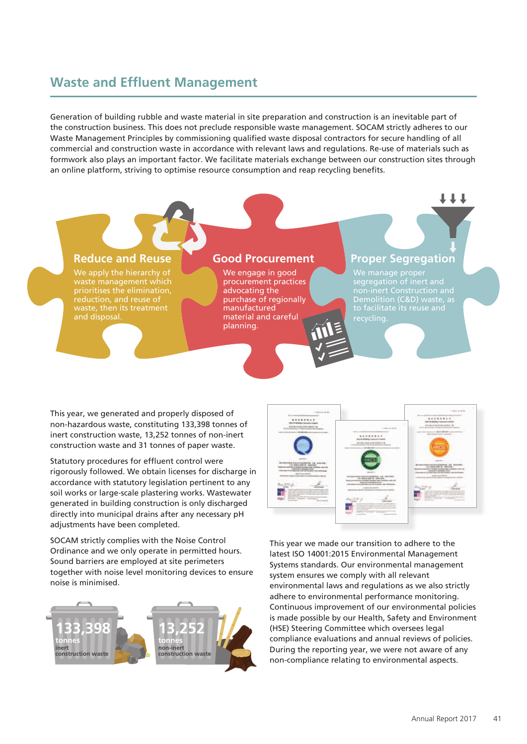### **Waste and Effluent Management**

Generation of building rubble and waste material in site preparation and construction is an inevitable part of the construction business. This does not preclude responsible waste management. SOCAM strictly adheres to our Waste Management Principles by commissioning qualified waste disposal contractors for secure handling of all commercial and construction waste in accordance with relevant laws and regulations. Re-use of materials such as formwork also plays an important factor. We facilitate materials exchange between our construction sites through an online platform, striving to optimise resource consumption and reap recycling benefits.



This year, we generated and properly disposed of non-hazardous waste, constituting 133,398 tonnes of inert construction waste, 13,252 tonnes of non-inert construction waste and 31 tonnes of paper waste.

Statutory procedures for effluent control were rigorously followed. We obtain licenses for discharge in accordance with statutory legislation pertinent to any soil works or large-scale plastering works. Wastewater generated in building construction is only discharged directly into municipal drains after any necessary pH adjustments have been completed.

SOCAM strictly complies with the Noise Control Ordinance and we only operate in permitted hours. Sound barriers are employed at site perimeters together with noise level monitoring devices to ensure noise is minimised.





This year we made our transition to adhere to the latest ISO 14001:2015 Environmental Management Systems standards. Our environmental management system ensures we comply with all relevant environmental laws and regulations as we also strictly adhere to environmental performance monitoring. Continuous improvement of our environmental policies is made possible by our Health, Safety and Environment (HSE) Steering Committee which oversees legal compliance evaluations and annual reviews of policies. During the reporting year, we were not aware of any non-compliance relating to environmental aspects.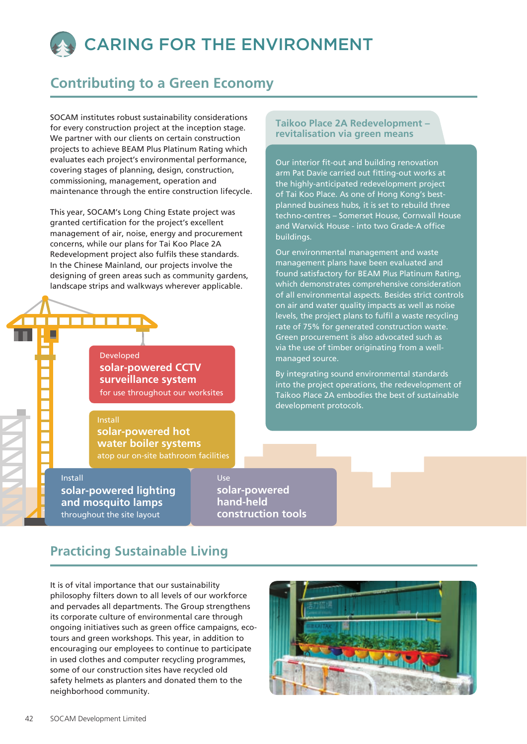# CARING FOR THE ENVIRONMENT

# **Contributing to a Green Economy**

SOCAM institutes robust sustainability considerations for every construction project at the inception stage. We partner with our clients on certain construction projects to achieve BEAM Plus Platinum Rating which evaluates each project's environmental performance, covering stages of planning, design, construction, commissioning, management, operation and maintenance through the entire construction lifecycle.

This year, SOCAM's Long Ching Estate project was granted certification for the project's excellent management of air, noise, energy and procurement concerns, while our plans for Tai Koo Place 2A Redevelopment project also fulfils these standards. In the Chinese Mainland, our projects involve the designing of green areas such as community gardens, landscape strips and walkways wherever applicable.

> for use throughout our worksites **solar-powered CCTV surveillance system**  Developed

# Install

atop our on-site bathroom facilities **solar-powered hot water boiler systems**

throughout the site layout Install **solar-powered lighting and mosquito lamps**

**solar-powered hand-held construction tools** Use

# **Practicing Sustainable Living**

It is of vital importance that our sustainability philosophy filters down to all levels of our workforce and pervades all departments. The Group strengthens its corporate culture of environmental care through ongoing initiatives such as green office campaigns, ecotours and green workshops. This year, in addition to encouraging our employees to continue to participate in used clothes and computer recycling programmes, some of our construction sites have recycled old safety helmets as planters and donated them to the neighborhood community.



#### **Taikoo Place 2A Redevelopment – revitalisation via green means**

Our interior fit-out and building renovation arm Pat Davie carried out fitting-out works at the highly-anticipated redevelopment project of Tai Koo Place. As one of Hong Kong's bestplanned business hubs, it is set to rebuild three techno-centres – Somerset House, Cornwall House and Warwick House - into two Grade-A office buildings.

Our environmental management and waste management plans have been evaluated and found satisfactory for BEAM Plus Platinum Rating, which demonstrates comprehensive consideration of all environmental aspects. Besides strict controls on air and water quality impacts as well as noise levels, the project plans to fulfil a waste recycling rate of 75% for generated construction waste. Green procurement is also advocated such as via the use of timber originating from a wellmanaged source.

By integrating sound environmental standards into the project operations, the redevelopment of Taikoo Place 2A embodies the best of sustainable development protocols.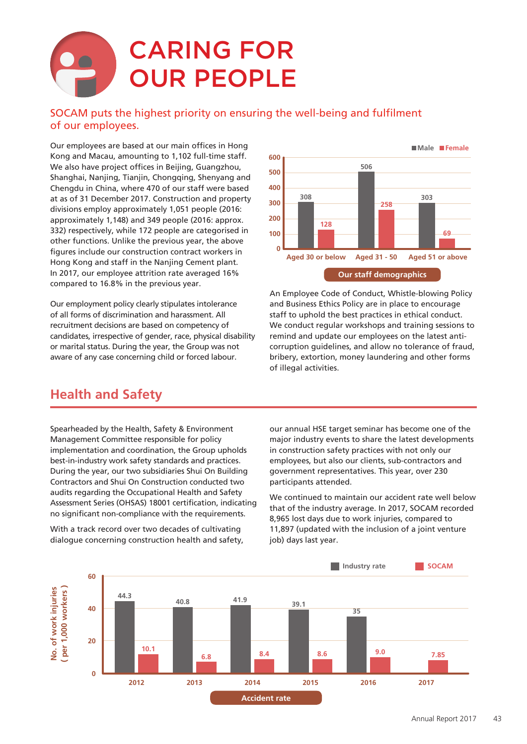# CARING FOR OUR PEOPLE

#### SOCAM puts the highest priority on ensuring the well-being and fulfilment of our employees.

Our employees are based at our main offices in Hong Kong and Macau, amounting to 1,102 full-time staff. We also have project offices in Beijing, Guangzhou, Shanghai, Nanjing, Tianjin, Chongqing, Shenyang and Chengdu in China, where 470 of our staff were based at as of 31 December 2017. Construction and property divisions employ approximately 1,051 people (2016: approximately 1,148) and 349 people (2016: approx. 332) respectively, while 172 people are categorised in other functions. Unlike the previous year, the above figures include our construction contract workers in Hong Kong and staff in the Nanjing Cement plant. In 2017, our employee attrition rate averaged 16% compared to 16.8% in the previous year.

Our employment policy clearly stipulates intolerance of all forms of discrimination and harassment. All recruitment decisions are based on competency of candidates, irrespective of gender, race, physical disability or marital status. During the year, the Group was not aware of any case concerning child or forced labour.



An Employee Code of Conduct, Whistle-blowing Policy and Business Ethics Policy are in place to encourage staff to uphold the best practices in ethical conduct. We conduct regular workshops and training sessions to remind and update our employees on the latest anticorruption guidelines, and allow no tolerance of fraud, bribery, extortion, money laundering and other forms of illegal activities.

### **Health and Safety**

Spearheaded by the Health, Safety & Environment Management Committee responsible for policy implementation and coordination, the Group upholds best-in-industry work safety standards and practices. During the year, our two subsidiaries Shui On Building Contractors and Shui On Construction conducted two audits regarding the Occupational Health and Safety Assessment Series (OHSAS) 18001 certification, indicating no significant non-compliance with the requirements.

With a track record over two decades of cultivating dialogue concerning construction health and safety, our annual HSE target seminar has become one of the major industry events to share the latest developments in construction safety practices with not only our employees, but also our clients, sub-contractors and government representatives. This year, over 230 participants attended.

We continued to maintain our accident rate well below that of the industry average. In 2017, SOCAM recorded 8,965 lost days due to work injuries, compared to 11,897 (updated with the inclusion of a joint venture job) days last year.

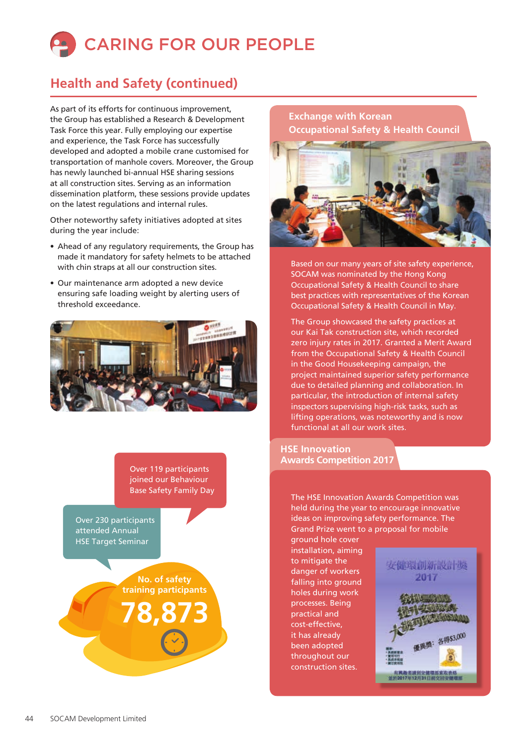

# **Health and Safety (continued)**

As part of its efforts for continuous improvement, the Group has established a Research & Development Task Force this year. Fully employing our expertise and experience, the Task Force has successfully developed and adopted a mobile crane customised for transportation of manhole covers. Moreover, the Group has newly launched bi-annual HSE sharing sessions at all construction sites. Serving as an information dissemination platform, these sessions provide updates on the latest regulations and internal rules.

Other noteworthy safety initiatives adopted at sites during the year include:

- Ahead of any regulatory requirements, the Group has made it mandatory for safety helmets to be attached with chin straps at all our construction sites.
- Our maintenance arm adopted a new device ensuring safe loading weight by alerting users of threshold exceedance.



Over 119 participants joined our Behaviour

Over 230 participants attended Annual HSE Target Seminar

> **No. of safety training participants**

**78,873**

#### **Exchange with Korean Occupational Safety & Health Council**



Based on our many years of site safety experience, SOCAM was nominated by the Hong Kong Occupational Safety & Health Council to share best practices with representatives of the Korean Occupational Safety & Health Council in May.

The Group showcased the safety practices at our Kai Tak construction site, which recorded zero injury rates in 2017. Granted a Merit Award from the Occupational Safety & Health Council in the Good Housekeeping campaign, the project maintained superior safety performance due to detailed planning and collaboration. In particular, the introduction of internal safety inspectors supervising high-risk tasks, such as lifting operations, was noteworthy and is now functional at all our work sites.

#### **HSE Innovation Awards Competition 2017**

Base Safety Family Day<br>The HSE Innovation Awards Competition was held during the year to encourage innovative ideas on improving safety performance. The Grand Prize went to a proposal for mobile

> ground hole cover installation, aiming to mitigate the danger of workers falling into ground holes during work processes. Being practical and cost-effective, it has already been adopted throughout our construction sites.

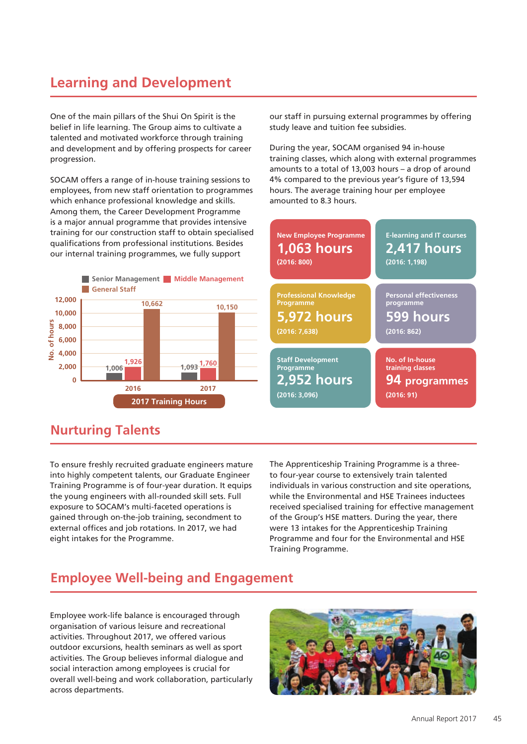# **Learning and Development**

One of the main pillars of the Shui On Spirit is the belief in life learning. The Group aims to cultivate a talented and motivated workforce through training and development and by offering prospects for career progression.

SOCAM offers a range of in-house training sessions to employees, from new staff orientation to programmes which enhance professional knowledge and skills. Among them, the Career Development Programme is a major annual programme that provides intensive training for our construction staff to obtain specialised qualifications from professional institutions. Besides our internal training programmes, we fully support



### **Nurturing Talents**

To ensure freshly recruited graduate engineers mature into highly competent talents, our Graduate Engineer Training Programme is of four-year duration. It equips the young engineers with all-rounded skill sets. Full exposure to SOCAM's multi-faceted operations is gained through on-the-job training, secondment to external offices and job rotations. In 2017, we had eight intakes for the Programme.

our staff in pursuing external programmes by offering study leave and tuition fee subsidies.

During the year, SOCAM organised 94 in-house training classes, which along with external programmes amounts to a total of 13,003 hours – a drop of around 4% compared to the previous year's figure of 13,594 hours. The average training hour per employee amounted to 8.3 hours.



The Apprenticeship Training Programme is a threeto four-year course to extensively train talented individuals in various construction and site operations, while the Environmental and HSE Trainees inductees received specialised training for effective management of the Group's HSE matters. During the year, there were 13 intakes for the Apprenticeship Training Programme and four for the Environmental and HSE Training Programme.

### **Employee Well-being and Engagement**

Employee work-life balance is encouraged through organisation of various leisure and recreational activities. Throughout 2017, we offered various outdoor excursions, health seminars as well as sport activities. The Group believes informal dialogue and social interaction among employees is crucial for overall well-being and work collaboration, particularly across departments.

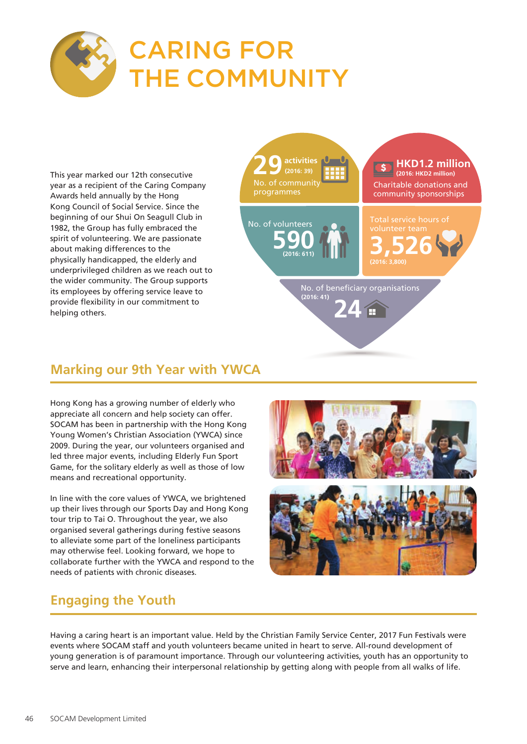

# CARING FOR THE COMMUNITY

This year marked our 12th consecutive year as a recipient of the Caring Company Awards held annually by the Hong Kong Council of Social Service. Since the beginning of our Shui On Seagull Club in 1982, the Group has fully embraced the spirit of volunteering. We are passionate about making differences to the physically handicapped, the elderly and underprivileged children as we reach out to the wider community. The Group supports its employees by offering service leave to provide flexibility in our commitment to helping others.



# **Marking our 9th Year with YWCA**

Hong Kong has a growing number of elderly who appreciate all concern and help society can offer. SOCAM has been in partnership with the Hong Kong Young Women's Christian Association (YWCA) since 2009. During the year, our volunteers organised and led three major events, including Elderly Fun Sport Game, for the solitary elderly as well as those of low means and recreational opportunity.

In line with the core values of YWCA, we brightened up their lives through our Sports Day and Hong Kong tour trip to Tai O. Throughout the year, we also organised several gatherings during festive seasons to alleviate some part of the loneliness participants may otherwise feel. Looking forward, we hope to collaborate further with the YWCA and respond to the needs of patients with chronic diseases.



# **Engaging the Youth**

Having a caring heart is an important value. Held by the Christian Family Service Center, 2017 Fun Festivals were events where SOCAM staff and youth volunteers became united in heart to serve. All-round development of young generation is of paramount importance. Through our volunteering activities, youth has an opportunity to serve and learn, enhancing their interpersonal relationship by getting along with people from all walks of life.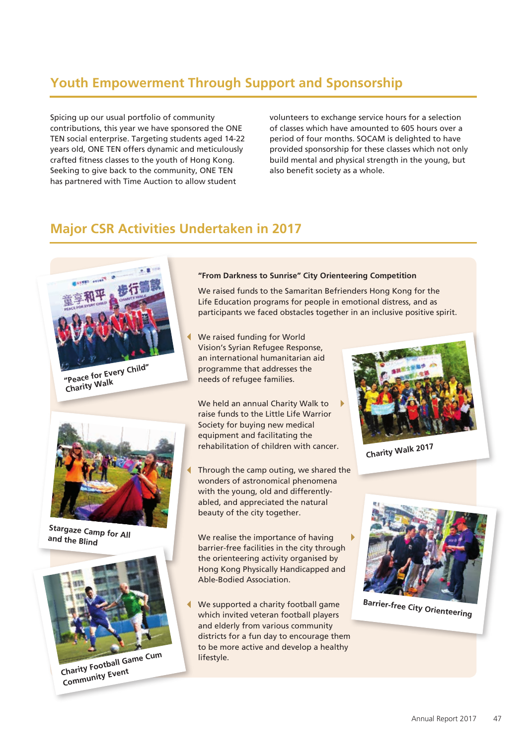# **Youth Empowerment Through Support and Sponsorship**

Spicing up our usual portfolio of community contributions, this year we have sponsored the ONE TEN social enterprise. Targeting students aged 14-22 years old, ONE TEN offers dynamic and meticulously crafted fitness classes to the youth of Hong Kong. Seeking to give back to the community, ONE TEN has partnered with Time Auction to allow student

volunteers to exchange service hours for a selection of classes which have amounted to 605 hours over a period of four months. SOCAM is delighted to have provided sponsorship for these classes which not only build mental and physical strength in the young, but also benefit society as a whole.

### **Major CSR Activities Undertaken in 2017**



**Charity Walk**



**Stargaze Camp for All and the Blind**



**Charity Football Game Cum** lifestyle. **Community Event**

#### **"From Darkness to Sunrise" City Orienteering Competition**

We raised funds to the Samaritan Befrienders Hong Kong for the Life Education programs for people in emotional distress, and as participants we faced obstacles together in an inclusive positive spirit.

We raised funding for World Vision's Syrian Refugee Response, an international humanitarian aid programme that addresses the needs of refugee families.

We held an annual Charity Walk to raise funds to the Little Life Warrior Society for buying new medical equipment and facilitating the rehabilitation of children with cancer.

Through the camp outing, we shared the wonders of astronomical phenomena with the young, old and differentlyabled, and appreciated the natural beauty of the city together.

We realise the importance of having barrier-free facilities in the city through the orienteering activity organised by Hong Kong Physically Handicapped and Able-Bodied Association.

We supported a charity football game which invited veteran football players and elderly from various community districts for a fun day to encourage them to be more active and develop a healthy



**Charity Walk 2017**



**Barrier-free City Orienteering**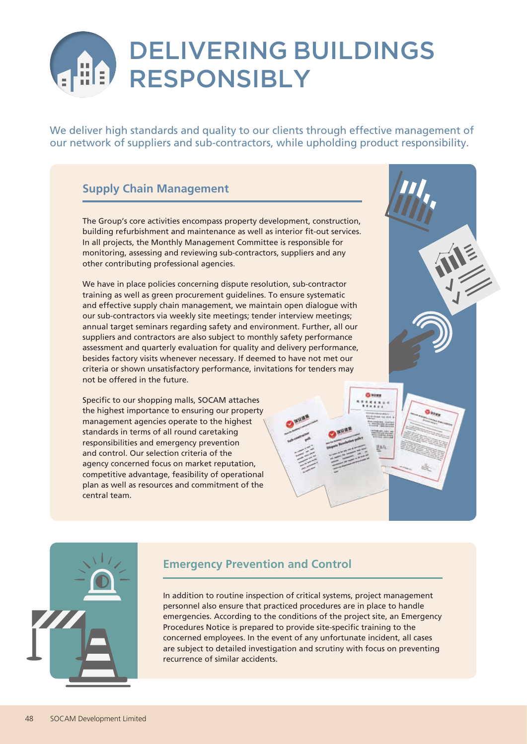# DELIVERING BUILDINGS RESPONSIBLY

We deliver high standards and quality to our clients through effective management of our network of suppliers and sub-contractors, while upholding product responsibility.

### **Supply Chain Management**

The Group's core activities encompass property development, construction, building refurbishment and maintenance as well as interior fit-out services. In all projects, the Monthly Management Committee is responsible for monitoring, assessing and reviewing sub-contractors, suppliers and any other contributing professional agencies.

We have in place policies concerning dispute resolution, sub-contractor training as well as green procurement guidelines. To ensure systematic and effective supply chain management, we maintain open dialogue with our sub-contractors via weekly site meetings; tender interview meetings; annual target seminars regarding safety and environment. Further, all our suppliers and contractors are also subject to monthly safety performance assessment and quarterly evaluation for quality and delivery performance, besides factory visits whenever necessary. If deemed to have not met our criteria or shown unsatisfactory performance, invitations for tenders may not be offered in the future.

Specific to our shopping malls, SOCAM attaches the highest importance to ensuring our property management agencies operate to the highest standards in terms of all round caretaking responsibilities and emergency prevention and control. Our selection criteria of the agency concerned focus on market reputation, competitive advantage, feasibility of operational plan as well as resources and commitment of the central team.



#### **Emergency Prevention and Control**

In addition to routine inspection of critical systems, project management personnel also ensure that practiced procedures are in place to handle emergencies. According to the conditions of the project site, an Emergency Procedures Notice is prepared to provide site-specific training to the concerned employees. In the event of any unfortunate incident, all cases are subject to detailed investigation and scrutiny with focus on preventing recurrence of similar accidents.

Chances.  $1411.$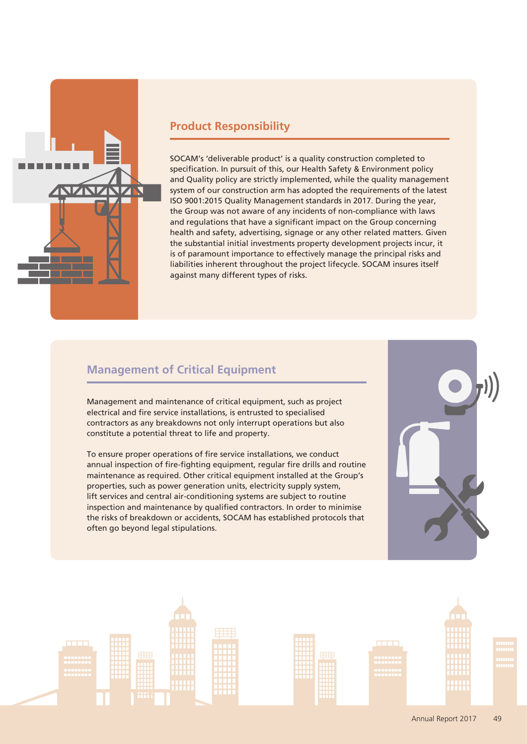

#### **Product Responsibility**

SOCAM's 'deliverable product' is a quality construction completed to specification. In pursuit of this, our Health Safety & Environment policy and Quality policy are strictly implemented, while the quality management system of our construction arm has adopted the requirements of the latest ISO 9001:2015 Quality Management standards in 2017. During the year, the Group was not aware of any incidents of non-compliance with laws and regulations that have a significant impact on the Group concerning health and safety, advertising, signage or any other related matters. Given the substantial initial investments property development projects incur, it is of paramount importance to effectively manage the principal risks and liabilities inherent throughout the project lifecycle. SOCAM insures itself against many different types of risks.

#### **Management of Critical Equipment**

Management and maintenance of critical equipment, such as project electrical and fire service installations, is entrusted to specialised contractors as any breakdowns not only interrupt operations but also constitute a potential threat to life and property.

To ensure proper operations of fire service installations, we conduct annual inspection of fire-fighting equipment, regular fire drills and routine maintenance as required. Other critical equipment installed at the Group's properties, such as power generation units, electricity supply system, lift services and central air-conditioning systems are subject to routine inspection and maintenance by qualified contractors. In order to minimise the risks of breakdown or accidents, SOCAM has established protocols that often go beyond legal stipulations.



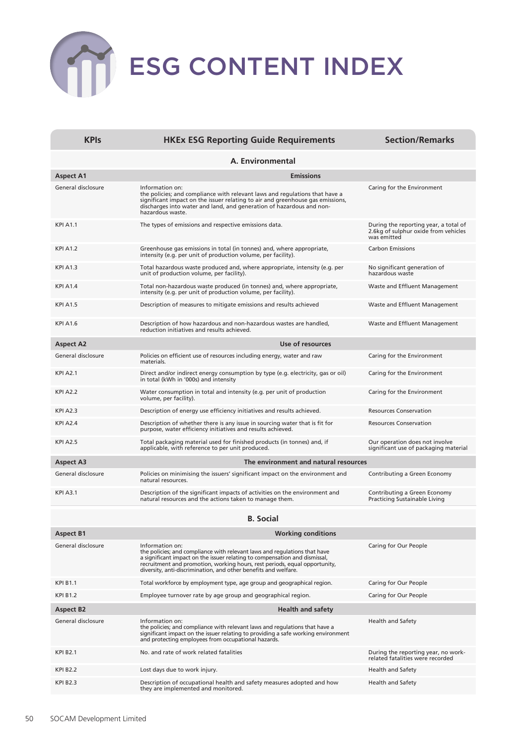# ESG CONTENT INDEX

| <b>KPIs</b>        | <b>HKEx ESG Reporting Guide Requirements</b>                                                                                                                                                                                                                                                                                | <b>Section/Remarks</b>                                                                       |  |
|--------------------|-----------------------------------------------------------------------------------------------------------------------------------------------------------------------------------------------------------------------------------------------------------------------------------------------------------------------------|----------------------------------------------------------------------------------------------|--|
| A. Environmental   |                                                                                                                                                                                                                                                                                                                             |                                                                                              |  |
| <b>Aspect A1</b>   | <b>Emissions</b>                                                                                                                                                                                                                                                                                                            |                                                                                              |  |
| General disclosure | Information on:<br>the policies; and compliance with relevant laws and regulations that have a<br>significant impact on the issuer relating to air and greenhouse gas emissions,<br>discharges into water and land, and generation of hazardous and non-<br>hazardous waste.                                                | Caring for the Environment                                                                   |  |
| <b>KPI A1.1</b>    | The types of emissions and respective emissions data.                                                                                                                                                                                                                                                                       | During the reporting year, a total of<br>2.6kg of sulphur oxide from vehicles<br>was emitted |  |
| <b>KPI A1.2</b>    | Greenhouse gas emissions in total (in tonnes) and, where appropriate,<br>intensity (e.g. per unit of production volume, per facility).                                                                                                                                                                                      | <b>Carbon Emissions</b>                                                                      |  |
| <b>KPI A1.3</b>    | Total hazardous waste produced and, where appropriate, intensity (e.g. per<br>unit of production volume, per facility).                                                                                                                                                                                                     | No significant generation of<br>hazardous waste                                              |  |
| <b>KPI A1.4</b>    | Total non-hazardous waste produced (in tonnes) and, where appropriate,<br>intensity (e.g. per unit of production volume, per facility).                                                                                                                                                                                     | Waste and Effluent Management                                                                |  |
| <b>KPI A1.5</b>    | Description of measures to mitigate emissions and results achieved                                                                                                                                                                                                                                                          | Waste and Effluent Management                                                                |  |
| <b>KPI A1.6</b>    | Description of how hazardous and non-hazardous wastes are handled,<br>reduction initiatives and results achieved.                                                                                                                                                                                                           | Waste and Effluent Management                                                                |  |
| <b>Aspect A2</b>   | Use of resources                                                                                                                                                                                                                                                                                                            |                                                                                              |  |
| General disclosure | Policies on efficient use of resources including energy, water and raw<br>materials.                                                                                                                                                                                                                                        | Caring for the Environment                                                                   |  |
| <b>KPI A2.1</b>    | Direct and/or indirect energy consumption by type (e.g. electricity, gas or oil)<br>in total (kWh in '000s) and intensity                                                                                                                                                                                                   | Caring for the Environment                                                                   |  |
| <b>KPI A2.2</b>    | Water consumption in total and intensity (e.g. per unit of production<br>volume, per facility).                                                                                                                                                                                                                             | Caring for the Environment                                                                   |  |
| <b>KPI A2.3</b>    | Description of energy use efficiency initiatives and results achieved.                                                                                                                                                                                                                                                      | <b>Resources Conservation</b>                                                                |  |
| <b>KPI A2.4</b>    | Description of whether there is any issue in sourcing water that is fit for<br>purpose, water efficiency initiatives and results achieved.                                                                                                                                                                                  | <b>Resources Conservation</b>                                                                |  |
| <b>KPI A2.5</b>    | Total packaging material used for finished products (in tonnes) and, if<br>applicable, with reference to per unit produced.                                                                                                                                                                                                 | Our operation does not involve<br>significant use of packaging material                      |  |
| <b>Aspect A3</b>   | The environment and natural resources                                                                                                                                                                                                                                                                                       |                                                                                              |  |
| General disclosure | Policies on minimising the issuers' significant impact on the environment and<br>natural resources.                                                                                                                                                                                                                         | Contributing a Green Economy                                                                 |  |
| <b>KPI A3.1</b>    | Description of the significant impacts of activities on the environment and<br>natural resources and the actions taken to manage them.                                                                                                                                                                                      | Contributing a Green Economy<br>Practicing Sustainable Living                                |  |
|                    | <b>B.</b> Social                                                                                                                                                                                                                                                                                                            |                                                                                              |  |
| <b>Aspect B1</b>   | <b>Working conditions</b>                                                                                                                                                                                                                                                                                                   |                                                                                              |  |
| General disclosure | Information on:<br>the policies; and compliance with relevant laws and regulations that have<br>a significant impact on the issuer relating to compensation and dismissal,<br>recruitment and promotion, working hours, rest periods, equal opportunity,<br>diversity, anti-discrimination, and other benefits and welfare. | Caring for Our People                                                                        |  |
| <b>KPI B1.1</b>    | Total workforce by employment type, age group and geographical region.                                                                                                                                                                                                                                                      | Caring for Our People                                                                        |  |
| <b>KPI B1.2</b>    | Employee turnover rate by age group and geographical region.                                                                                                                                                                                                                                                                | Caring for Our People                                                                        |  |
| <b>Aspect B2</b>   | <b>Health and safety</b>                                                                                                                                                                                                                                                                                                    |                                                                                              |  |
| General disclosure | Information on:<br>the policies; and compliance with relevant laws and regulations that have a<br>significant impact on the issuer relating to providing a safe working environment<br>and protecting employees from occupational hazards.                                                                                  | <b>Health and Safety</b>                                                                     |  |
| <b>KPI B2.1</b>    | No. and rate of work related fatalities                                                                                                                                                                                                                                                                                     | During the reporting year, no work-<br>related fatalities were recorded                      |  |
| <b>KPI B2.2</b>    | Lost days due to work injury.                                                                                                                                                                                                                                                                                               | <b>Health and Safety</b>                                                                     |  |
| <b>KPI B2.3</b>    | Description of occupational health and safety measures adopted and how<br>they are implemented and monitored.                                                                                                                                                                                                               | Health and Safety                                                                            |  |